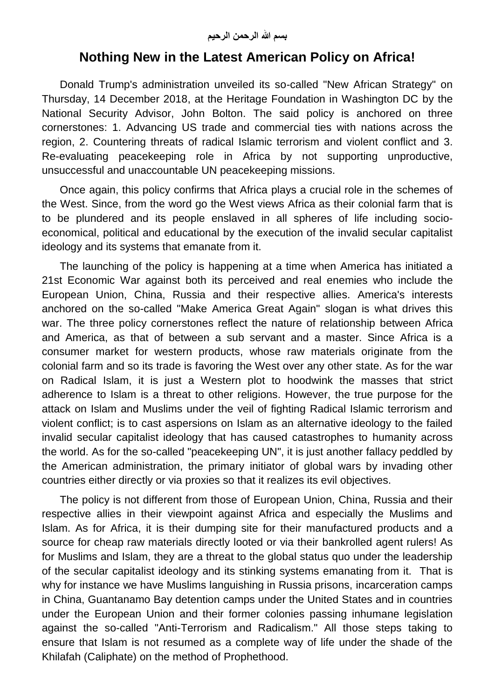## **Nothing New in the Latest American Policy on Africa!**

Donald Trump's administration unveiled its so-called "New African Strategy" on Thursday, 14 December 2018, at the Heritage Foundation in Washington DC by the National Security Advisor, John Bolton. The said policy is anchored on three cornerstones: 1. Advancing US trade and commercial ties with nations across the region, 2. Countering threats of radical Islamic terrorism and violent conflict and 3. Re-evaluating peacekeeping role in Africa by not supporting unproductive, unsuccessful and unaccountable UN peacekeeping missions.

Once again, this policy confirms that Africa plays a crucial role in the schemes of the West. Since, from the word go the West views Africa as their colonial farm that is to be plundered and its people enslaved in all spheres of life including socioeconomical, political and educational by the execution of the invalid secular capitalist ideology and its systems that emanate from it.

The launching of the policy is happening at a time when America has initiated a 21st Economic War against both its perceived and real enemies who include the European Union, China, Russia and their respective allies. America's interests anchored on the so-called "Make America Great Again" slogan is what drives this war. The three policy cornerstones reflect the nature of relationship between Africa and America, as that of between a sub servant and a master. Since Africa is a consumer market for western products, whose raw materials originate from the colonial farm and so its trade is favoring the West over any other state. As for the war on Radical Islam, it is just a Western plot to hoodwink the masses that strict adherence to Islam is a threat to other religions. However, the true purpose for the attack on Islam and Muslims under the veil of fighting Radical Islamic terrorism and violent conflict; is to cast aspersions on Islam as an alternative ideology to the failed invalid secular capitalist ideology that has caused catastrophes to humanity across the world. As for the so-called "peacekeeping UN", it is just another fallacy peddled by the American administration, the primary initiator of global wars by invading other countries either directly or via proxies so that it realizes its evil objectives.

The policy is not different from those of European Union, China, Russia and their respective allies in their viewpoint against Africa and especially the Muslims and Islam. As for Africa, it is their dumping site for their manufactured products and a source for cheap raw materials directly looted or via their bankrolled agent rulers! As for Muslims and Islam, they are a threat to the global status quo under the leadership of the secular capitalist ideology and its stinking systems emanating from it. That is why for instance we have Muslims languishing in Russia prisons, incarceration camps in China, Guantanamo Bay detention camps under the United States and in countries under the European Union and their former colonies passing inhumane legislation against the so-called "Anti-Terrorism and Radicalism." All those steps taking to ensure that Islam is not resumed as a complete way of life under the shade of the Khilafah (Caliphate) on the method of Prophethood.